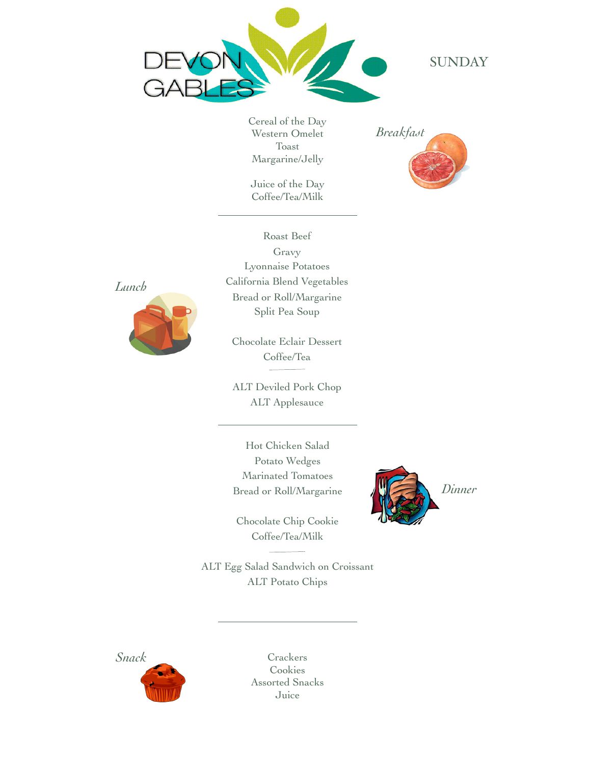

**SUNDAY** 

Cereal of the Day Western Omelet Toast Margarine/Jelly

Juice of the Day Coffee/Tea/Milk





Roast Beef Gravy Lyonnaise Potatoes California Blend Vegetables Bread or Roll/Margarine Split Pea Soup

Chocolate Eclair Dessert Coffee/Tea

ALT Deviled Pork Chop ALT Applesauce

Hot Chicken Salad Potato Wedges Marinated Tomatoes Bread or Roll/Margarine

Chocolate Chip Cookie Coffee/Tea/Milk



ALT Egg Salad Sandwich on Croissant ALT Potato Chips



Cookies Assorted Snacks Juice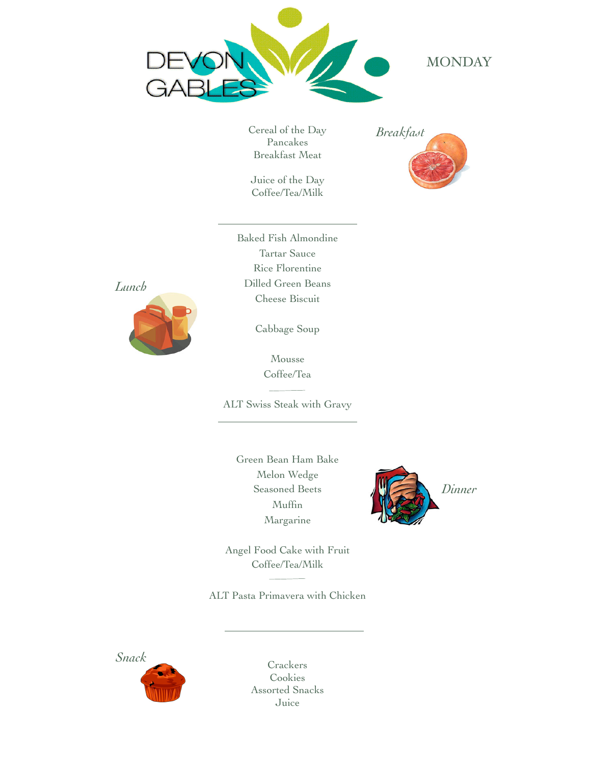

## **MONDAY**

Cereal of the Day Pancakes Breakfast Meat

Juice of the Day Coffee/Tea/Milk



Baked Fish Almondine Tartar Sauce Rice Florentine Dilled Green Beans Cheese Biscuit



Cabbage Soup

Mousse Coffee/Tea

ALT Swiss Steak with Gravy

Green Bean Ham Bake Melon Wedge Seasoned Beets Muffin Margarine



Angel Food Cake with Fruit Coffee/Tea/Milk

ALT Pasta Primavera with Chicken

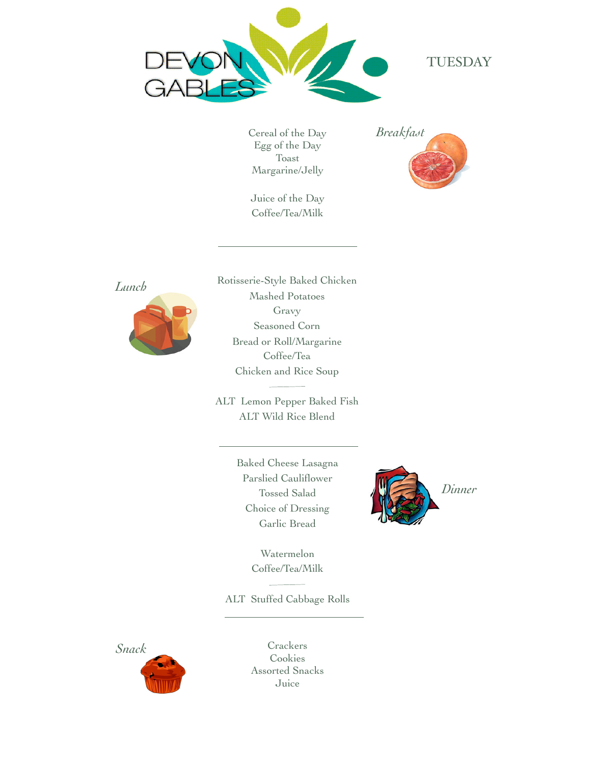

### TUESDAY

Cereal of the Day Egg of the Day Toast Margarine/Jelly

Juice of the Day Coffee/Tea/Milk





Rotisserie-Style Baked Chicken Mashed Potatoes Gravy Seasoned Corn Bread or Roll/Margarine Coffee/Tea Chicken and Rice Soup

ALT Lemon Pepper Baked Fish ALT Wild Rice Blend

> Baked Cheese Lasagna Parslied Cauliflower Tossed Salad Choice of Dressing Garlic Bread



Watermelon Coffee/Tea/Milk

ALT Stuffed Cabbage Rolls

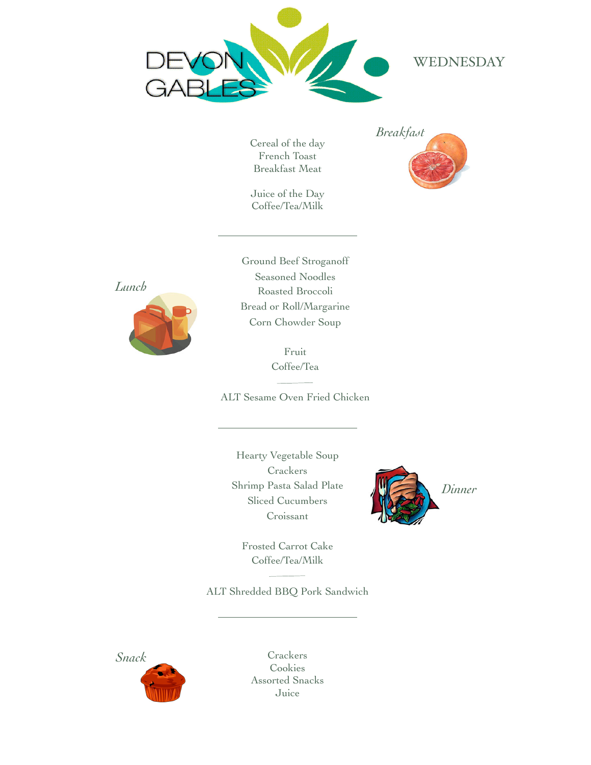

## WEDNESDAY

Cereal of the day French Toast Breakfast Meat

Juice of the Day Coffee/Tea/Milk





Ground Beef Stroganoff Seasoned Noodles Roasted Broccoli Bread or Roll/Margarine Corn Chowder Soup

> Fruit Coffee/Tea

ALT Sesame Oven Fried Chicken

Hearty Vegetable Soup **Crackers** Shrimp Pasta Salad Plate Sliced Cucumbers Croissant



Frosted Carrot Cake Coffee/Tea/Milk

ALT Shredded BBQ Pork Sandwich

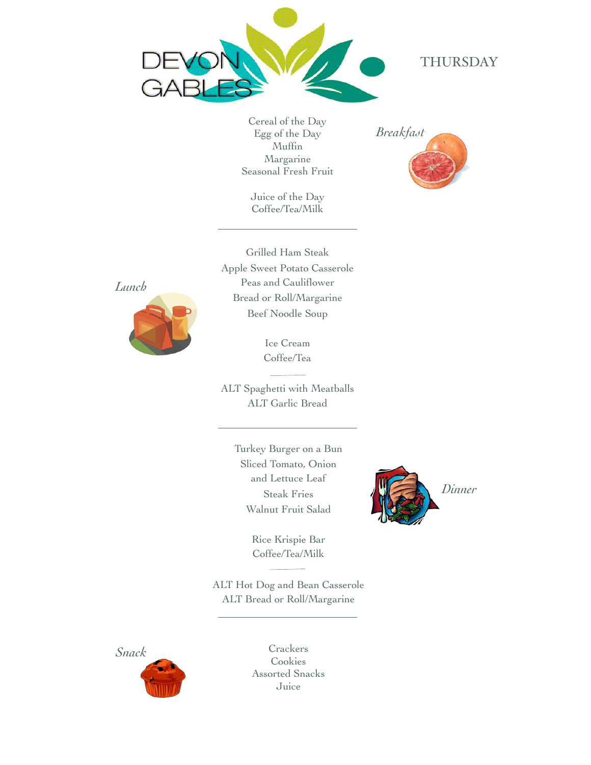

#### THURSDAY

Cereal of the Day Egg of the Day Muffin Margarine Seasonal Fresh Fruit

Juice of the Day Coffee/Tea/Milk



Grilled Ham Steak Apple Sweet Potato Casserole Peas and Cauliflower Bread or Roll/Margarine Beef Noodle Soup



Ice Cream Coffee/Tea

ALT Spaghetti with Meatballs ALT Garlic Bread

> Turkey Burger on a Bun Sliced Tomato, Onion and Lettuce Leaf Steak Fries Walnut Fruit Salad

> > Rice Krispie Bar Coffee/Tea/Milk

ALT Hot Dog and Bean Casserole ALT Bread or Roll/Margarine



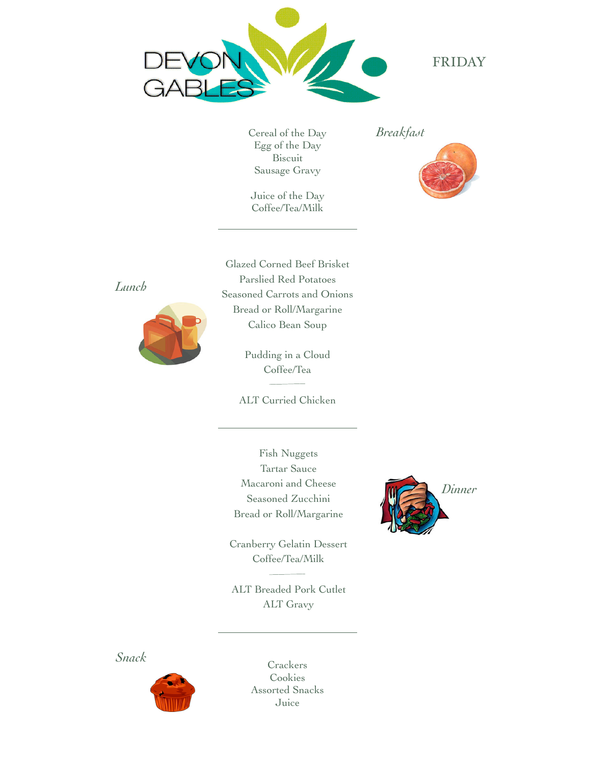

FRIDAY

Cereal of the Day Egg of the Day Biscuit Sausage Gravy

Juice of the Day Coffee/Tea/Milk

*Breakfast*



*Lunch*



Glazed Corned Beef Brisket Parslied Red Potatoes Seasoned Carrots and Onions Bread or Roll/Margarine Calico Bean Soup

> Pudding in a Cloud Coffee/Tea

ALT Curried Chicken

Fish Nuggets Tartar Sauce Macaroni and Cheese Seasoned Zucchini Bread or Roll/Margarine

Cranberry Gelatin Dessert Coffee/Tea/Milk

ALT Breaded Pork Cutlet ALT Gravy



*Snack*